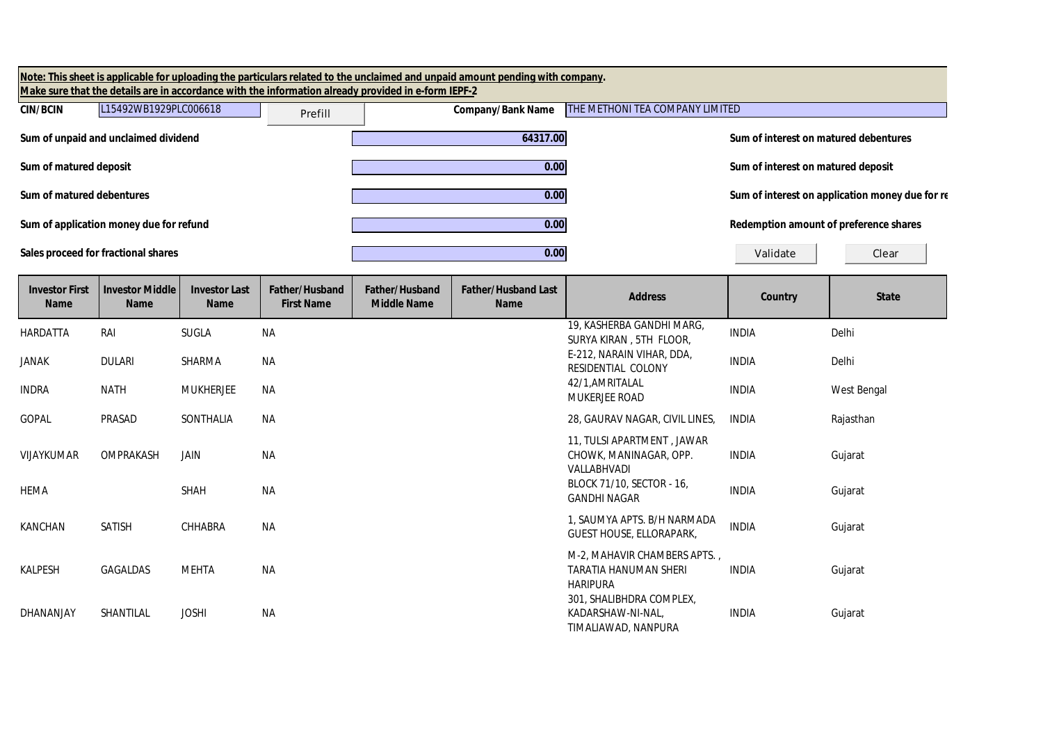|                                      |                                         |                                     |                                     | Make sure that the details are in accordance with the information already provided in e-form IEPF-2 | Note: This sheet is applicable for uploading the particulars related to the unclaimed and unpaid amount pending with company. |                                                                          |                                        |                                                 |  |
|--------------------------------------|-----------------------------------------|-------------------------------------|-------------------------------------|-----------------------------------------------------------------------------------------------------|-------------------------------------------------------------------------------------------------------------------------------|--------------------------------------------------------------------------|----------------------------------------|-------------------------------------------------|--|
| <b>CIN/BCIN</b>                      | L15492WB1929PLC006618                   |                                     | Prefill                             |                                                                                                     | <b>Company/Bank Name</b>                                                                                                      | THE METHONI TEA COMPANY LIMITED                                          |                                        |                                                 |  |
|                                      | Sum of unpaid and unclaimed dividend    |                                     |                                     |                                                                                                     | 64317.00                                                                                                                      |                                                                          | Sum of interest on matured debentures  |                                                 |  |
| Sum of matured deposit               |                                         |                                     |                                     |                                                                                                     | 0.00                                                                                                                          |                                                                          | Sum of interest on matured deposit     |                                                 |  |
| Sum of matured debentures            |                                         |                                     |                                     |                                                                                                     | 0.00                                                                                                                          |                                                                          |                                        | Sum of interest on application money due for re |  |
|                                      | Sum of application money due for refund |                                     |                                     |                                                                                                     | 0.00                                                                                                                          |                                                                          | Redemption amount of preference shares |                                                 |  |
|                                      | Sales proceed for fractional shares     |                                     |                                     |                                                                                                     | 0.00                                                                                                                          |                                                                          | Validate                               | Clear                                           |  |
| <b>Investor First</b><br><b>Name</b> | <b>Investor Middle</b><br><b>Name</b>   | <b>Investor Last</b><br><b>Name</b> | Father/Husband<br><b>First Name</b> | <b>Father/Husband</b><br><b>Middle Name</b>                                                         | <b>Father/Husband Last</b><br><b>Name</b>                                                                                     | <b>Address</b>                                                           | Country                                | <b>State</b>                                    |  |
| <b>HARDATTA</b>                      | RAI                                     | <b>SUGLA</b>                        | <b>NA</b>                           |                                                                                                     |                                                                                                                               | 19, KASHERBA GANDHI MARG,<br>SURYA KIRAN, 5TH FLOOR,                     | <b>INDIA</b>                           | Delhi                                           |  |
| <b>JANAK</b>                         | <b>DULARI</b>                           | SHARMA                              | <b>NA</b>                           |                                                                                                     |                                                                                                                               | E-212, NARAIN VIHAR, DDA,<br>RESIDENTIAL COLONY                          | <b>INDIA</b>                           | Delhi                                           |  |
| <b>INDRA</b>                         | <b>NATH</b>                             | <b>MUKHERJEE</b>                    | ΝA                                  |                                                                                                     |                                                                                                                               | 42/1, AMRITALAL<br>MUKERJEE ROAD                                         | <b>INDIA</b>                           | West Bengal                                     |  |
| <b>GOPAL</b>                         | PRASAD                                  | SONTHALIA                           | NA                                  |                                                                                                     |                                                                                                                               | 28, GAURAV NAGAR, CIVIL LINES,                                           | <b>INDIA</b>                           | Rajasthan                                       |  |
| VIJAYKUMAR                           | OMPRAKASH                               | JAIN                                | <b>NA</b>                           |                                                                                                     |                                                                                                                               | 11, TULSI APARTMENT, JAWAR<br>CHOWK, MANINAGAR, OPP.<br>VALLABHVADI      | <b>INDIA</b>                           | Gujarat                                         |  |
| <b>HEMA</b>                          |                                         | SHAH                                | <b>NA</b>                           |                                                                                                     |                                                                                                                               | BLOCK 71/10, SECTOR - 16,<br><b>GANDHI NAGAR</b>                         | <b>INDIA</b>                           | Gujarat                                         |  |
| KANCHAN                              | <b>SATISH</b>                           | CHHABRA                             | NA                                  |                                                                                                     |                                                                                                                               | 1, SAUMYA APTS. B/H NARMADA<br>GUEST HOUSE, ELLORAPARK,                  | <b>INDIA</b>                           | Gujarat                                         |  |
| <b>KALPESH</b>                       | GAGALDAS                                | <b>MEHTA</b>                        | <b>NA</b>                           |                                                                                                     |                                                                                                                               | M-2, MAHAVIR CHAMBERS APTS.,<br>TARATIA HANUMAN SHERI<br><b>HARIPURA</b> | <b>INDIA</b>                           | Gujarat                                         |  |
| DHANANJAY                            | SHANTILAL                               | <b>JOSHI</b>                        | <b>NA</b>                           |                                                                                                     |                                                                                                                               | 301, SHALIBHDRA COMPLEX,<br>KADARSHAW-NI-NAL,<br>TIMALIAWAD, NANPURA     | <b>INDIA</b>                           | Gujarat                                         |  |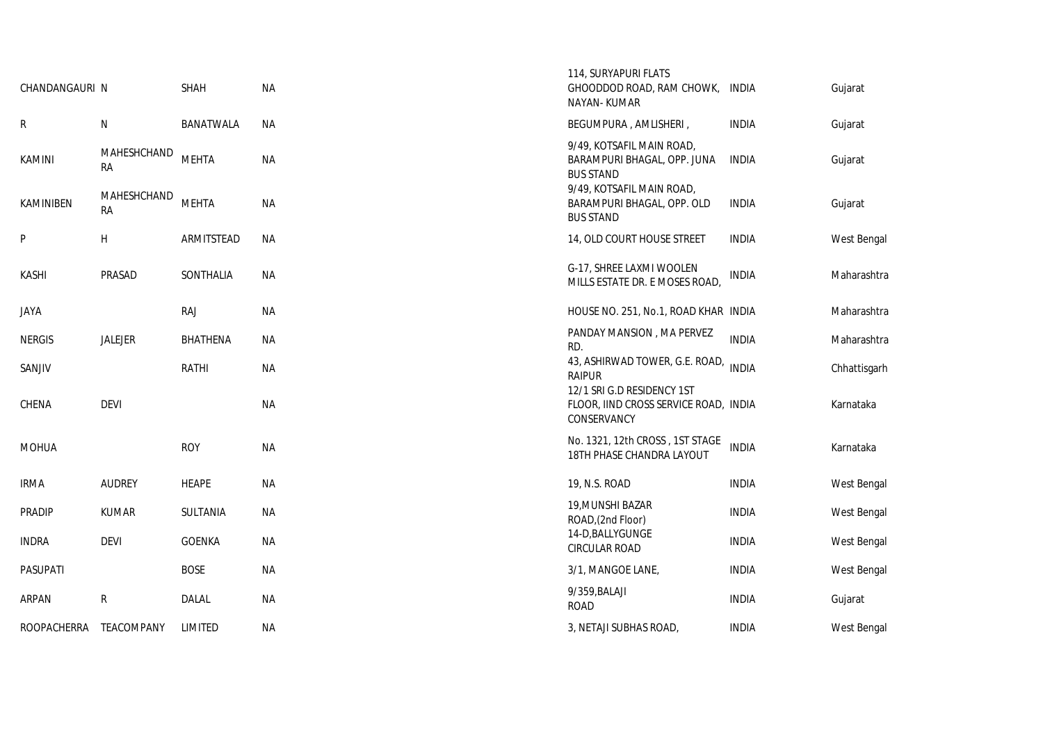| CHANDANGAURI N |                          | <b>SHAH</b>     | <b>NA</b> | 114, SURYAPURI FLATS<br>GHOODDOD ROAD, RAM CHOWK,<br>NAYAN-KUMAR                   | INDIA        | Gujarat      |
|----------------|--------------------------|-----------------|-----------|------------------------------------------------------------------------------------|--------------|--------------|
| R              | N                        | BANATWALA       | ΝA        | BEGUMPURA, AMLISHERI,                                                              | <b>INDIA</b> | Gujarat      |
| KAMINI         | MAHESHCHAND<br><b>RA</b> | <b>MEHTA</b>    | <b>NA</b> | 9/49, KOTSAFIL MAIN ROAD,<br>BARAMPURI BHAGAL, OPP. JUNA<br><b>BUS STAND</b>       | INDIA        | Gujarat      |
| KAMINIBEN      | MAHESHCHAND<br><b>RA</b> | <b>MEHTA</b>    | <b>NA</b> | 9/49, KOTSAFIL MAIN ROAD,<br>BARAMPURI BHAGAL, OPP. OLD<br><b>BUS STAND</b>        | <b>INDIA</b> | Gujarat      |
| P              | Н                        | ARMITSTEAD      | <b>NA</b> | 14, OLD COURT HOUSE STREET                                                         | <b>INDIA</b> | West Bengal  |
| KASHI          | PRASAD                   | SONTHALIA       | <b>NA</b> | G-17, SHREE LAXMI WOOLEN<br>MILLS ESTATE DR. E MOSES ROAD,                         | <b>INDIA</b> | Maharashtra  |
| JAYA           |                          | <b>RAJ</b>      | ΝA        | HOUSE NO. 251, No.1, ROAD KHAR INDIA                                               |              | Maharashtra  |
| <b>NERGIS</b>  | JALEJER                  | <b>BHATHENA</b> | ΝA        | PANDAY MANSION, MA PERVEZ<br>RD.                                                   | <b>INDIA</b> | Maharashtra  |
| SANJIV         |                          | <b>RATHI</b>    | <b>NA</b> | 43, ASHIRWAD TOWER, G.E. ROAD,<br><b>RAIPUR</b>                                    | <b>INDIA</b> | Chhattisgarh |
| CHENA          | <b>DEVI</b>              |                 | <b>NA</b> | 12/1 SRI G.D RESIDENCY 1ST<br>FLOOR, IIND CROSS SERVICE ROAD, INDIA<br>CONSERVANCY |              | Karnataka    |
| MOHUA          |                          | <b>ROY</b>      | <b>NA</b> | No. 1321, 12th CROSS, 1ST STAGE<br>18TH PHASE CHANDRA LAYOUT                       | <b>INDIA</b> | Karnataka    |
| irma           | <b>AUDREY</b>            | <b>HEAPE</b>    | ΝA        | 19, N.S. ROAD                                                                      | <b>INDIA</b> | West Bengal  |
| PRADIP         | <b>KUMAR</b>             | SULTANIA        | <b>NA</b> | 19, MUNSHI BAZAR<br>ROAD, (2nd Floor)                                              | <b>INDIA</b> | West Bengal  |
| <b>INDRA</b>   | <b>DEVI</b>              | <b>GOENKA</b>   | <b>NA</b> | 14-D, BALLY GUNGE<br><b>CIRCULAR ROAD</b>                                          | <b>INDIA</b> | West Bengal  |
| PASUPATI       |                          | <b>BOSE</b>     | ΝA        | 3/1, MANGOE LANE,                                                                  | <b>INDIA</b> | West Bengal  |
| ARPAN          | R                        | <b>DALAL</b>    | <b>NA</b> | 9/359, BALAJI<br><b>ROAD</b>                                                       | <b>INDIA</b> | Gujarat      |
| ROOPACHERRA    | <b>TEACOMPANY</b>        | LIMITED         | ΝA        | 3, NETAJI SUBHAS ROAD,                                                             | <b>INDIA</b> | West Bengal  |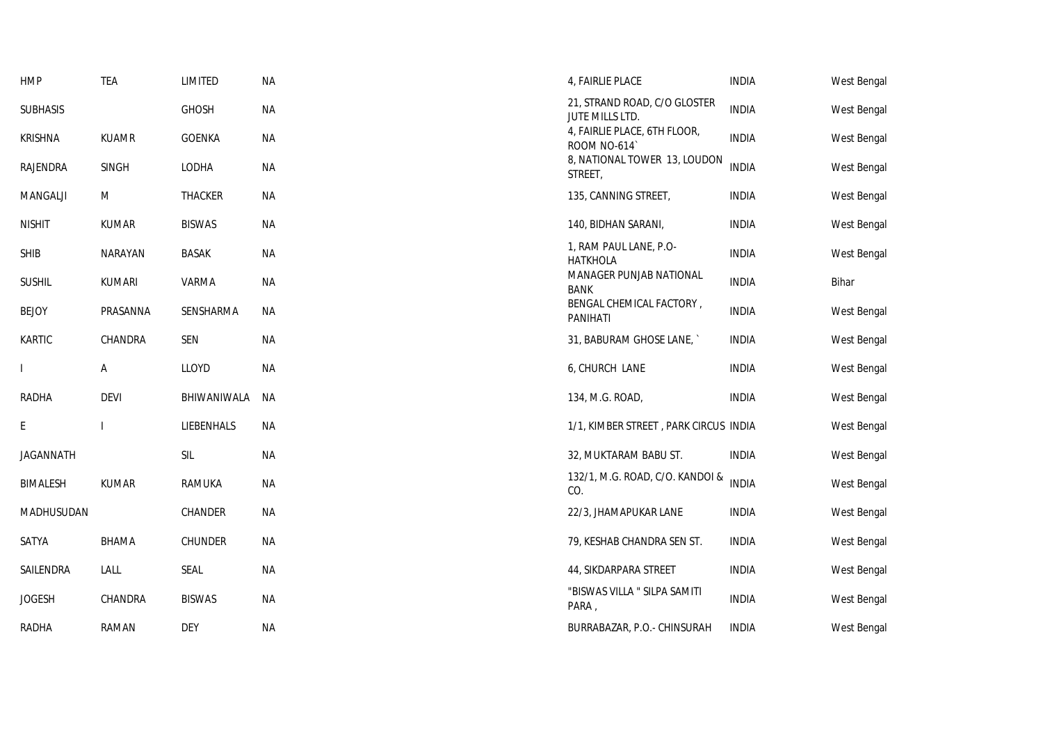| <b>HMP</b>       | <b>TEA</b>     | LIMITED        | <b>NA</b> | 4, FAIRLIE PLACE                                | <b>INDIA</b> | West Bengal        |
|------------------|----------------|----------------|-----------|-------------------------------------------------|--------------|--------------------|
| <b>SUBHASIS</b>  |                | <b>GHOSH</b>   | <b>NA</b> | 21, STRAND ROAD, C/O GLOSTER<br>JUTE MILLS LTD. | <b>INDIA</b> | West Bengal        |
| <b>KRISHNA</b>   | <b>KUAMR</b>   | <b>GOENKA</b>  | <b>NA</b> | 4, FAIRLIE PLACE, 6TH FLOOR,<br>ROOM NO-614     | <b>INDIA</b> | West Bengal        |
| RAJENDRA         | <b>SINGH</b>   | LODHA          | <b>NA</b> | 8, NATIONAL TOWER 13, LOUDON<br>STREET,         | <b>INDIA</b> | <b>West Bengal</b> |
| <b>MANGALJI</b>  | M              | <b>THACKER</b> | <b>NA</b> | 135, CANNING STREET,                            | <b>INDIA</b> | West Bengal        |
| <b>NISHIT</b>    | <b>KUMAR</b>   | <b>BISWAS</b>  | <b>NA</b> | 140, BIDHAN SARANI,                             | <b>INDIA</b> | West Bengal        |
| <b>SHIB</b>      | <b>NARAYAN</b> | <b>BASAK</b>   | <b>NA</b> | 1, RAM PAUL LANE, P.O-<br><b>HATKHOLA</b>       | <b>INDIA</b> | West Bengal        |
| <b>SUSHIL</b>    | <b>KUMARI</b>  | VARMA          | ΝA        | MANAGER PUNJAB NATIONAL<br><b>BANK</b>          | <b>INDIA</b> | Bihar              |
| <b>BEJOY</b>     | PRASANNA       | SENSHARMA      | <b>NA</b> | BENGAL CHEMICAL FACTORY,<br><b>PANIHATI</b>     | <b>INDIA</b> | West Bengal        |
| KARTIC           | CHANDRA        | <b>SEN</b>     | ΝA        | 31, BABURAM GHOSE LANE,                         | <b>INDIA</b> | West Bengal        |
|                  | Α              | LLOYD          | <b>NA</b> | 6, CHURCH LANE                                  | <b>INDIA</b> | West Bengal        |
| RADHA            | <b>DEVI</b>    | BHIWANIWALA    | NА        | 134, M.G. ROAD,                                 | <b>INDIA</b> | West Bengal        |
| E                |                | LIEBENHALS     | <b>NA</b> | 1/1, KIMBER STREET, PARK CIRCUS INDIA           |              | West Bengal        |
| <b>JAGANNATH</b> |                | <b>SIL</b>     | <b>NA</b> | 32, MUKTARAM BABU ST.                           | <b>INDIA</b> | West Bengal        |
| <b>BIMALESH</b>  | <b>KUMAR</b>   | RAMUKA         | <b>NA</b> | 132/1, M.G. ROAD, C/O. KANDOI &<br>CO.          | <b>INDIA</b> | West Bengal        |
| MADHUSUDAN       |                | CHANDER        | <b>NA</b> | 22/3, JHAMAPUKAR LANE                           | <b>INDIA</b> | West Bengal        |
| SATYA            | <b>BHAMA</b>   | CHUNDER        | <b>NA</b> | 79, KESHAB CHANDRA SEN ST.                      | <b>INDIA</b> | West Bengal        |
| SAILENDRA        | LALL           | <b>SEAL</b>    | <b>NA</b> | 44, SIKDARPARA STREET                           | <b>INDIA</b> | West Bengal        |
| <b>JOGESH</b>    | CHANDRA        | <b>BISWAS</b>  | <b>NA</b> | "BISWAS VILLA " SILPA SAMITI<br>PARA,           | <b>INDIA</b> | West Bengal        |
| RADHA            | RAMAN          | <b>DEY</b>     | <b>NA</b> | BURRABAZAR, P.O.- CHINSURAH                     | <b>INDIA</b> | West Bengal        |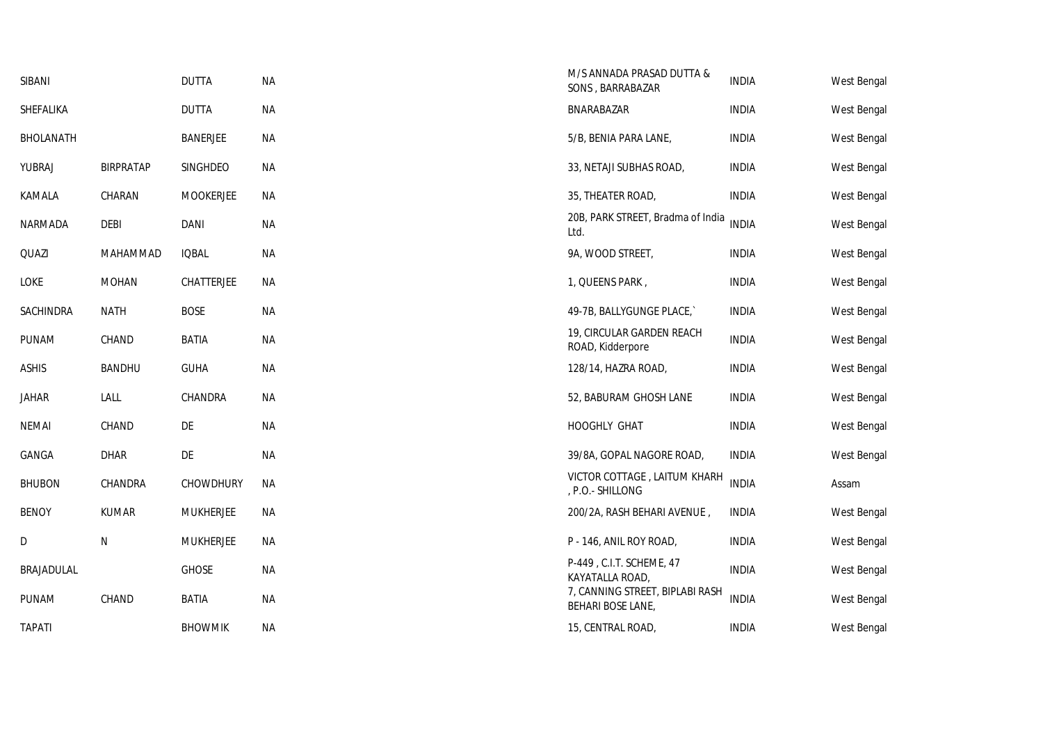| SIBANI        |                  | <b>DUTTA</b>     | <b>NA</b> | M/S ANNADA PRASAD DUTTA &<br>SONS, BARRABAZAR        | <b>INDIA</b> | West Bengal |
|---------------|------------------|------------------|-----------|------------------------------------------------------|--------------|-------------|
| SHEFALIKA     |                  | <b>DUTTA</b>     | <b>NA</b> | BNARABAZAR                                           | <b>INDIA</b> | West Bengal |
| BHOLANATH     |                  | <b>BANERJEE</b>  | <b>NA</b> | 5/B, BENIA PARA LANE,                                | <b>INDIA</b> | West Bengal |
| YUBRAJ        | <b>BIRPRATAP</b> | SINGHDEO         | <b>NA</b> | 33, NETAJI SUBHAS ROAD,                              | <b>INDIA</b> | West Bengal |
| KAMALA        | CHARAN           | <b>MOOKERJEE</b> | <b>NA</b> | 35, THEATER ROAD,                                    | <b>INDIA</b> | West Bengal |
| NARMADA       | <b>DEBI</b>      | <b>DANI</b>      | <b>NA</b> | 20B, PARK STREET, Bradma of India<br>Ltd.            | <b>INDIA</b> | West Bengal |
| QUAZI         | MAHAMMAD         | <b>IQBAL</b>     | <b>NA</b> | 9A, WOOD STREET,                                     | <b>INDIA</b> | West Bengal |
| LOKE          | <b>MOHAN</b>     | CHATTERJEE       | <b>NA</b> | 1, QUEENS PARK,                                      | <b>INDIA</b> | West Bengal |
| SACHINDRA     | <b>NATH</b>      | <b>BOSE</b>      | <b>NA</b> | 49-7B, BALLYGUNGE PLACE,                             | <b>INDIA</b> | West Bengal |
| PUNAM         | CHAND            | <b>BATIA</b>     | <b>NA</b> | 19, CIRCULAR GARDEN REACH<br>ROAD, Kidderpore        | <b>INDIA</b> | West Bengal |
| <b>ASHIS</b>  | <b>BANDHU</b>    | <b>GUHA</b>      | <b>NA</b> | 128/14, HAZRA ROAD,                                  | <b>INDIA</b> | West Bengal |
| Jahar         | LALL             | CHANDRA          | ΝA        | 52, BABURAM GHOSH LANE                               | <b>INDIA</b> | West Bengal |
| NEMAI         | CHAND            | DE               | ΝA        | HOOGHLY GHAT                                         | <b>INDIA</b> | West Bengal |
| GANGA         | <b>DHAR</b>      | DE               | <b>NA</b> | 39/8A, GOPAL NAGORE ROAD,                            | <b>INDIA</b> | West Bengal |
| <b>BHUBON</b> | CHANDRA          | <b>CHOWDHURY</b> | ΝA        | VICTOR COTTAGE, LAITUM KHARH<br>, P.O.- SHILLONG     | <b>INDIA</b> | Assam       |
| <b>BENOY</b>  | <b>KUMAR</b>     | <b>MUKHERJEE</b> | <b>NA</b> | 200/2A, RASH BEHARI AVENUE,                          | <b>INDIA</b> | West Bengal |
| D             | N                | <b>MUKHERJEE</b> | ΝA        | P - 146, ANIL ROY ROAD,                              | <b>INDIA</b> | West Bengal |
| BRAJADULAL    |                  | <b>GHOSE</b>     | <b>NA</b> | P-449, C.I.T. SCHEME, 47<br>KAYATALLA ROAD,          | <b>INDIA</b> | West Bengal |
| PUNAM         | CHAND            | <b>BATIA</b>     | <b>NA</b> | 7, CANNING STREET, BIPLABI RASH<br>BEHARI BOSE LANE, | <b>INDIA</b> | West Bengal |
| <b>TAPATI</b> |                  | <b>BHOWMIK</b>   | ΝA        | 15, CENTRAL ROAD,                                    | <b>INDIA</b> | West Bengal |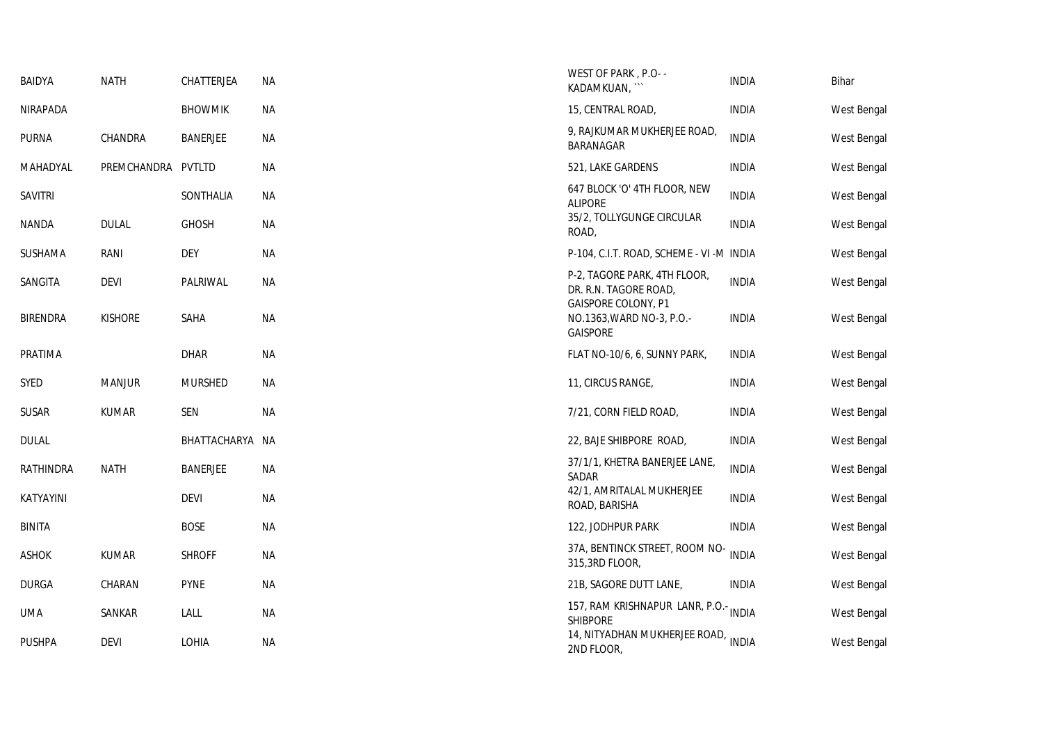| <b>BAIDYA</b>   | <b>NATH</b>    | CHATTERJEA      | <b>NA</b> | WEST OF PARK, P.O- -<br>KADAMKUAN, ```                                       | <b>INDIA</b> | Bihar       |
|-----------------|----------------|-----------------|-----------|------------------------------------------------------------------------------|--------------|-------------|
| NIRAPADA        |                | <b>BHOWMIK</b>  | <b>NA</b> | 15, CENTRAL ROAD,                                                            | <b>INDIA</b> | West Bengal |
| <b>PURNA</b>    | CHANDRA        | <b>BANERJEE</b> | ΝA        | 9, RAJKUMAR MUKHERJEE ROAD,<br>BARANAGAR                                     | <b>INDIA</b> | West Bengal |
| MAHADYAL        | PREMCHANDRA    | <b>PVTLTD</b>   | <b>NA</b> | 521, LAKE GARDENS                                                            | <b>INDIA</b> | West Bengal |
| <b>SAVITRI</b>  |                | SONTHALIA       | <b>NA</b> | 647 BLOCK 'O' 4TH FLOOR, NEW<br><b>ALIPORE</b>                               | <b>INDIA</b> | West Bengal |
| <b>NANDA</b>    | <b>DULAL</b>   | <b>GHOSH</b>    | <b>NA</b> | 35/2, TOLLYGUNGE CIRCULAR<br>ROAD,                                           | <b>INDIA</b> | West Bengal |
| <b>SUSHAMA</b>  | RANI           | <b>DEY</b>      | NА        | P-104, C.I.T. ROAD, SCHEME - VI -M INDIA                                     |              | West Bengal |
| SANGITA         | <b>DEVI</b>    | PALRIWAL        | <b>NA</b> | P-2, TAGORE PARK, 4TH FLOOR,<br>DR. R.N. TAGORE ROAD,<br>GAISPORE COLONY, P1 | <b>INDIA</b> | West Bengal |
| <b>BIRENDRA</b> | <b>KISHORE</b> | SAHA            | <b>NA</b> | NO.1363, WARD NO-3, P.O.-<br><b>GAISPORE</b>                                 | <b>INDIA</b> | West Bengal |
| PRATIMA         |                | <b>DHAR</b>     | <b>NA</b> | FLAT NO-10/6, 6, SUNNY PARK,                                                 | <b>INDIA</b> | West Bengal |
| SYED            | <b>MANJUR</b>  | <b>MURSHED</b>  | <b>NA</b> | 11, CIRCUS RANGE,                                                            | <b>INDIA</b> | West Bengal |
| <b>SUSAR</b>    | <b>KUMAR</b>   | SEN             | <b>NA</b> | 7/21, CORN FIELD ROAD,                                                       | <b>INDIA</b> | West Bengal |
| <b>DULAL</b>    |                | BHATTACHARYA NA |           | 22, BAJE SHIBPORE ROAD,                                                      | <b>INDIA</b> | West Bengal |
| RATHINDRA       | <b>NATH</b>    | <b>BANERJEE</b> | ΝA        | 37/1/1, KHETRA BANERJEE LANE,<br>SADAR                                       | <b>INDIA</b> | West Bengal |
| KATYAYINI       |                | <b>DEVI</b>     | <b>NA</b> | 42/1, AMRITALAL MUKHERJEE<br>ROAD, BARISHA                                   | <b>INDIA</b> | West Bengal |
| <b>BINITA</b>   |                | <b>BOSE</b>     | <b>NA</b> | 122, JODHPUR PARK                                                            | <b>INDIA</b> | West Bengal |
| <b>ASHOK</b>    | <b>KUMAR</b>   | <b>SHROFF</b>   | <b>NA</b> | 37A, BENTINCK STREET, ROOM NO-<br>315,3RD FLOOR,                             | <b>INDIA</b> | West Bengal |
| <b>DURGA</b>    | CHARAN         | <b>PYNE</b>     | <b>NA</b> | 21B, SAGORE DUTT LANE,                                                       | <b>INDIA</b> | West Bengal |
| <b>UMA</b>      | SANKAR         | LALL            | <b>NA</b> | 157, RAM KRISHNAPUR LANR, P.O.- INDIA<br><b>SHIBPORE</b>                     |              | West Bengal |
| <b>PUSHPA</b>   | <b>DEVI</b>    | LOHIA           | <b>NA</b> | 14, NITYADHAN MUKHERJEE ROAD, INDIA<br>2ND FLOOR,                            |              | West Bengal |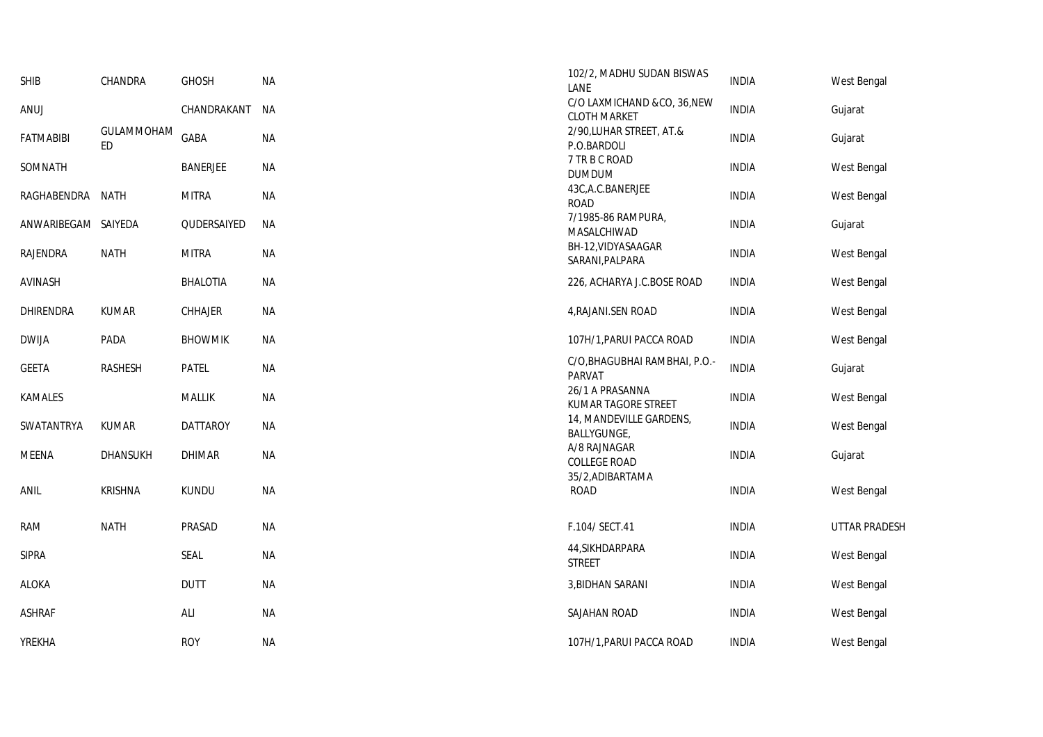| <b>SHIB</b>         | CHANDRA           | <b>GHOSH</b>    | <b>NA</b> | 102/2, MADHU SUDAN BISWAS<br>LANE                  | <b>INDIA</b> | West Bengal          |
|---------------------|-------------------|-----------------|-----------|----------------------------------------------------|--------------|----------------------|
| ANUJ                |                   | CHANDRAKANT     | NА        | C/O LAXMICHAND &CO, 36, NEW<br><b>CLOTH MARKET</b> | <b>INDIA</b> | Gujarat              |
| <b>FATMABIBI</b>    | GULAMMOHAM<br>ED. | GABA            | <b>NA</b> | 2/90, LUHAR STREET, AT.&<br>P.O.BARDOLI            | <b>INDIA</b> | Gujarat              |
| SOMNATH             |                   | <b>BANERJEE</b> | NА        | 7 TR B C ROAD<br><b>DUMDUM</b>                     | <b>INDIA</b> | West Bengal          |
| RAGHABENDRA NATH    |                   | <b>MITRA</b>    | <b>NA</b> | 43C, A.C. BANERJEE<br><b>ROAD</b>                  | <b>INDIA</b> | West Bengal          |
| ANWARIBEGAM SAIYEDA |                   | QUDERSAIYED     | NА        | 7/1985-86 RAMPURA,<br>MASALCHIWAD                  | <b>INDIA</b> | Gujarat              |
| <b>RAJENDRA</b>     | <b>NATH</b>       | <b>MITRA</b>    | <b>NA</b> | BH-12, VIDYASAAGAR<br>SARANI, PALPARA              | <b>INDIA</b> | West Bengal          |
| <b>AVINASH</b>      |                   | <b>BHALOTIA</b> | <b>NA</b> | 226, ACHARYA J.C.BOSE ROAD                         | <b>INDIA</b> | West Bengal          |
| DHIRENDRA           | <b>KUMAR</b>      | CHHAJER         | <b>NA</b> | 4, RAJANI.SEN ROAD                                 | <b>INDIA</b> | West Bengal          |
| <b>DWIJA</b>        | PADA              | <b>BHOWMIK</b>  | <b>NA</b> | 107H/1, PARUI PACCA ROAD                           | <b>INDIA</b> | West Bengal          |
| <b>GEETA</b>        | <b>RASHESH</b>    | PATEL           | <b>NA</b> | C/O, BHAGUBHAI RAMBHAI, P.O.-<br><b>PARVAT</b>     | <b>INDIA</b> | Gujarat              |
| <b>KAMALES</b>      |                   | <b>MALLIK</b>   | <b>NA</b> | 26/1 A PRASANNA<br>KUMAR TAGORE STREET             | <b>INDIA</b> | West Bengal          |
| SWATANTRYA          | <b>KUMAR</b>      | <b>DATTAROY</b> | <b>NA</b> | 14, MANDEVILLE GARDENS,<br>BALLYGUNGE,             | <b>INDIA</b> | West Bengal          |
| <b>MEENA</b>        | <b>DHANSUKH</b>   | <b>DHIMAR</b>   | <b>NA</b> | A/8 RAJNAGAR<br><b>COLLEGE ROAD</b>                | <b>INDIA</b> | Gujarat              |
| <b>ANIL</b>         | <b>KRISHNA</b>    | <b>KUNDU</b>    | <b>NA</b> | 35/2, ADIBARTAMA<br><b>ROAD</b>                    | <b>INDIA</b> | West Bengal          |
| RAM                 | <b>NATH</b>       | PRASAD          | NА        | F.104/ SECT.41                                     | <b>INDIA</b> | <b>UTTAR PRADESH</b> |
| <b>SIPRA</b>        |                   | <b>SEAL</b>     | <b>NA</b> | 44, SIKHDARPARA<br><b>STREET</b>                   | <b>INDIA</b> | West Bengal          |
| <b>ALOKA</b>        |                   | <b>DUTT</b>     | <b>NA</b> | 3, BIDHAN SARANI                                   | <b>INDIA</b> | West Bengal          |
| <b>ASHRAF</b>       |                   | ALI             | <b>NA</b> | SAJAHAN ROAD                                       | <b>INDIA</b> | West Bengal          |
| <b>YREKHA</b>       |                   | <b>ROY</b>      | <b>NA</b> | 107H/1, PARUI PACCA ROAD                           | <b>INDIA</b> | West Bengal          |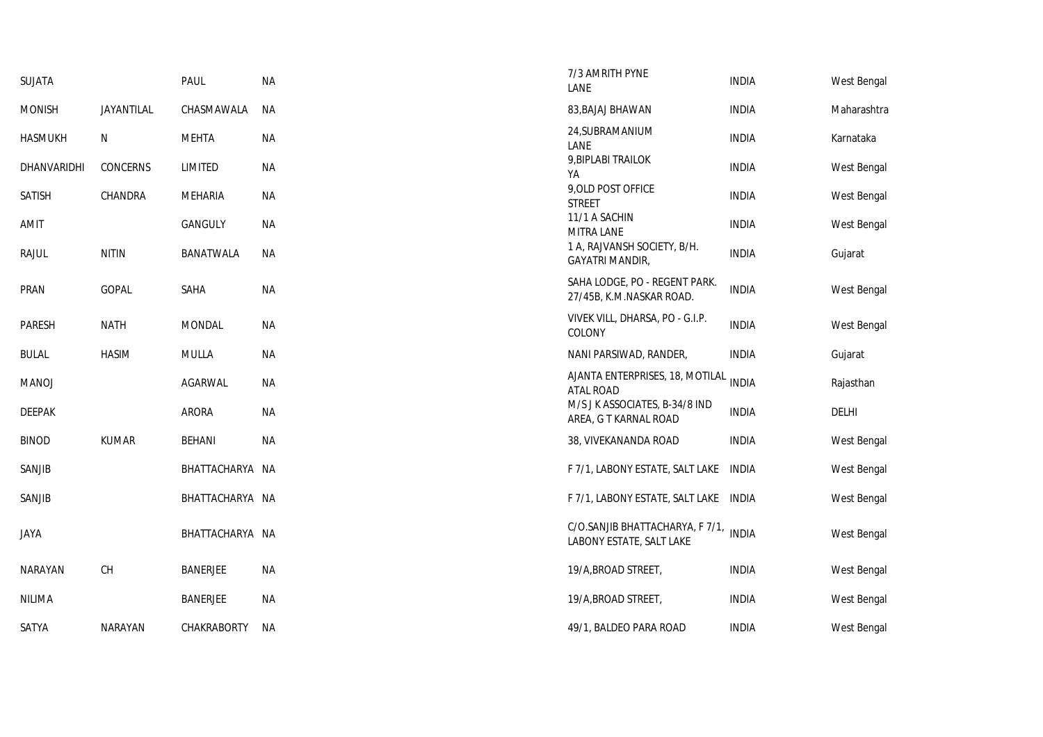| SUJATA        |                | PAUL               | <b>NA</b> | 7/3 AMRITH PYNE<br>LANE                                           | <b>INDIA</b> | West Bengal |
|---------------|----------------|--------------------|-----------|-------------------------------------------------------------------|--------------|-------------|
| <b>MONISH</b> | JAYANTILAL     | CHASMAWALA         | NА        | 83, BAJAJ BHAWAN                                                  | <b>INDIA</b> | Maharashtra |
| hasmukh       | N              | <b>MEHTA</b>       | ΝA        | 24, SUBRAMANIUM<br>LANE                                           | <b>INDIA</b> | Karnataka   |
| DHANVARIDHI   | CONCERNS       | LIMITED            | ΝA        | 9, BIPLABI TRAILOK<br>YA                                          | <b>INDIA</b> | West Bengal |
| Satish        | CHANDRA        | MEHARIA            | <b>NA</b> | 9, OLD POST OFFICE<br><b>STREET</b>                               | <b>INDIA</b> | West Bengal |
| AMIT          |                | GANGULY            | ΝA        | 11/1 A SACHIN<br>MITRA LANE                                       | <b>INDIA</b> | West Bengal |
| Rajul         | <b>NITIN</b>   | BANATWALA          | NА        | 1 A, RAJVANSH SOCIETY, B/H.<br><b>GAYATRI MANDIR,</b>             | <b>INDIA</b> | Gujarat     |
| PRAN          | <b>GOPAL</b>   | SAHA               | <b>NA</b> | SAHA LODGE, PO - REGENT PARK.<br>27/45B, K.M.NASKAR ROAD.         | <b>INDIA</b> | West Bengal |
| PARESH        | <b>NATH</b>    | <b>MONDAL</b>      | <b>NA</b> | VIVEK VILL, DHARSA, PO - G.I.P.<br>COLONY                         | <b>INDIA</b> | West Bengal |
| <b>BULAL</b>  | <b>HASIM</b>   | MULLA              | <b>NA</b> | NANI PARSIWAD, RANDER,                                            | <b>INDIA</b> | Gujarat     |
| MANOJ         |                | AGARWAL            | NА        | AJANTA ENTERPRISES, 18, MOTILAL<br><b>ATAL ROAD</b>               | <b>INDIA</b> | Rajasthan   |
| DEEPAK        |                | ARORA              | NА        | M/S J K ASSOCIATES, B-34/8 IND<br>AREA, G T KARNAL ROAD           | <b>INDIA</b> | DELHI       |
| BINOD         | <b>KUMAR</b>   | <b>BEHANI</b>      | <b>NA</b> | 38, VIVEKANANDA ROAD                                              | <b>INDIA</b> | West Bengal |
| SANJIB        |                | BHATTACHARYA NA    |           | F 7/1, LABONY ESTATE, SALT LAKE INDIA                             |              | West Bengal |
| SANJIB        |                | BHATTACHARYA NA    |           | F 7/1, LABONY ESTATE, SALT LAKE INDIA                             |              | West Bengal |
| JAYA          |                | BHATTACHARYA NA    |           | C/O.SANJIB BHATTACHARYA, F 7/1, INDIA<br>LABONY ESTATE, SALT LAKE |              | West Bengal |
| NARAYAN       | <b>CH</b>      | <b>BANERJEE</b>    | <b>NA</b> | 19/A, BROAD STREET,                                               | <b>INDIA</b> | West Bengal |
| NILIMA        |                | <b>BANERJEE</b>    | <b>NA</b> | 19/A, BROAD STREET,                                               | <b>INDIA</b> | West Bengal |
| SATYA         | <b>NARAYAN</b> | <b>CHAKRABORTY</b> | NA        | 49/1, BALDEO PARA ROAD                                            | <b>INDIA</b> | West Bengal |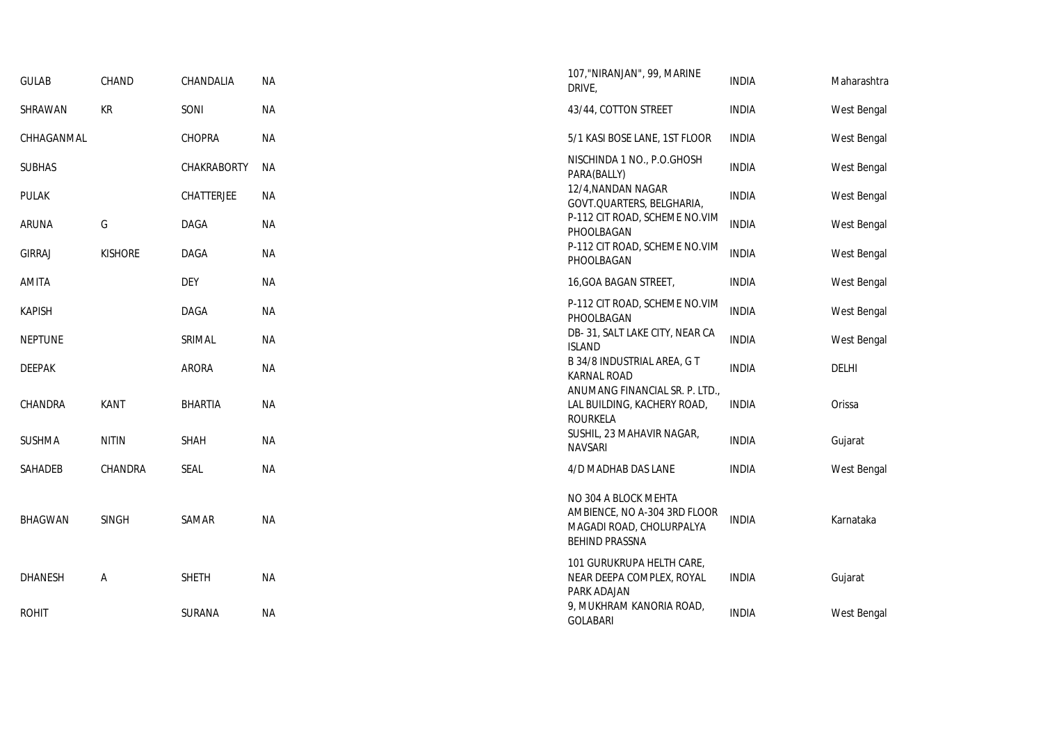| <b>GULAB</b>   | CHAND          | CHANDALIA      | NA        | 107, "NIRANJAN", 99, MARINE<br>DRIVE,                                                                     | <b>INDIA</b> | Maharashtra |
|----------------|----------------|----------------|-----------|-----------------------------------------------------------------------------------------------------------|--------------|-------------|
| SHRAWAN        | KR             | SONI           | NA        | 43/44, COTTON STREET                                                                                      | <b>INDIA</b> | West Bengal |
| CHHAGANMAL     |                | <b>CHOPRA</b>  | NA        | 5/1 KASI BOSE LANE, 1ST FLOOR                                                                             | <b>INDIA</b> | West Bengal |
| <b>SUBHAS</b>  |                | CHAKRABORTY    | <b>NA</b> | NISCHINDA 1 NO., P.O.GHOSH<br>PARA(BALLY)                                                                 | <b>INDIA</b> | West Bengal |
| <b>PULAK</b>   |                | CHATTERJEE     | NA        | 12/4, NANDAN NAGAR<br>GOVT.QUARTERS, BELGHARIA,                                                           | <b>INDIA</b> | West Bengal |
| ARUNA          | G              | DAGA           | NA        | P-112 CIT ROAD, SCHEME NO.VIM<br>PHOOLBAGAN                                                               | <b>INDIA</b> | West Bengal |
| <b>GIRRAJ</b>  | <b>KISHORE</b> | <b>DAGA</b>    | <b>NA</b> | P-112 CIT ROAD, SCHEME NO.VIM<br>PHOOLBAGAN                                                               | <b>INDIA</b> | West Bengal |
| AMITA          |                | <b>DEY</b>     | <b>NA</b> | 16, GOA BAGAN STREET,                                                                                     | <b>INDIA</b> | West Bengal |
| <b>KAPISH</b>  |                | DAGA           | <b>NA</b> | P-112 CIT ROAD, SCHEME NO.VIM<br>PHOOLBAGAN                                                               | <b>INDIA</b> | West Bengal |
| <b>NEPTUNE</b> |                | SRIMAL         | <b>NA</b> | DB-31, SALT LAKE CITY, NEAR CA<br><b>ISLAND</b>                                                           | <b>INDIA</b> | West Bengal |
| <b>DEEPAK</b>  |                | <b>ARORA</b>   | NA        | B 34/8 INDUSTRIAL AREA, G T<br><b>KARNAL ROAD</b>                                                         | <b>INDIA</b> | DELHI       |
| CHANDRA        | <b>KANT</b>    | <b>BHARTIA</b> | <b>NA</b> | ANUMANG FINANCIAL SR. P. LTD.,<br>LAL BUILDING, KACHERY ROAD,<br><b>ROURKELA</b>                          | <b>INDIA</b> | Orissa      |
| <b>SUSHMA</b>  | <b>NITIN</b>   | SHAH           | <b>NA</b> | SUSHIL, 23 MAHAVIR NAGAR,<br><b>NAVSARI</b>                                                               | <b>INDIA</b> | Gujarat     |
| SAHADEB        | CHANDRA        | <b>SEAL</b>    | <b>NA</b> | 4/D MADHAB DAS LANE                                                                                       | <b>INDIA</b> | West Bengal |
| <b>BHAGWAN</b> | <b>SINGH</b>   | SAMAR          | NA        | NO 304 A BLOCK MEHTA<br>AMBIENCE, NO A-304 3RD FLOOR<br>MAGADI ROAD, CHOLURPALYA<br><b>BEHIND PRASSNA</b> | <b>INDIA</b> | Karnataka   |
| <b>DHANESH</b> | Α              | <b>SHETH</b>   | <b>NA</b> | 101 GURUKRUPA HELTH CARE,<br>NEAR DEEPA COMPLEX, ROYAL<br>PARK ADAJAN                                     | <b>INDIA</b> | Gujarat     |
| <b>ROHIT</b>   |                | SURANA         | <b>NA</b> | 9, MUKHRAM KANORIA ROAD,<br><b>GOLABARI</b>                                                               | <b>INDIA</b> | West Bengal |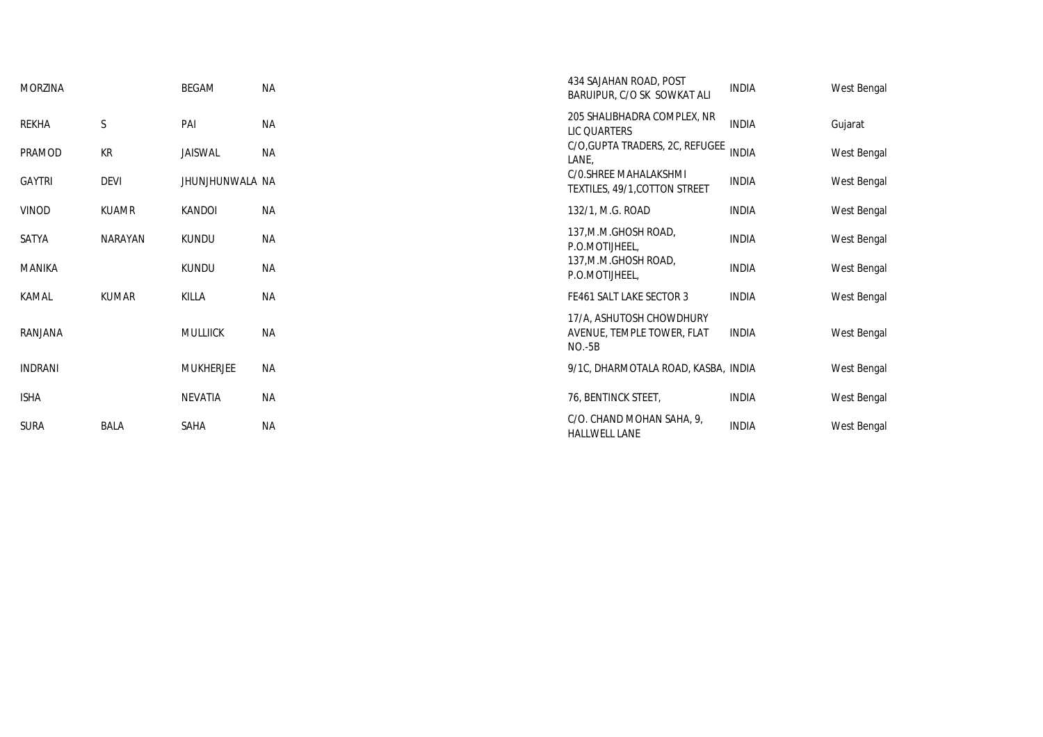| <b>MORZINA</b> |              | BEGAM            | <b>NA</b> | 434 SAJAHAN ROAD, POST<br>BARUIPUR, C/O SK SOWKAT ALI              | <b>INDIA</b> | West Bengal |
|----------------|--------------|------------------|-----------|--------------------------------------------------------------------|--------------|-------------|
| REKHA          | S            | PAI              | <b>NA</b> | 205 SHALIBHADRA COMPLEX, NR<br>LIC QUARTERS                        | <b>INDIA</b> | Gujarat     |
| PRAMOD         | KR           | JAISWAL          | ΝA        | C/O, GUPTA TRADERS, 2C, REFUGEE<br>LANE,                           | <b>INDIA</b> | West Bengal |
| <b>GAYTRI</b>  | <b>DEVI</b>  | JHUNJHUNWALA NA  |           | C/O.SHREE MAHALAKSHMI<br>TEXTILES, 49/1, COTTON STREET             | <b>INDIA</b> | West Bengal |
| VINOD          | <b>KUAMR</b> | KANDOI           | ΝA        | 132/1, M.G. ROAD                                                   | INDIA        | West Bengal |
| SATYA          | NARAYAN      | <b>KUNDU</b>     | ΝA        | 137, M.M. GHOSH ROAD,<br>P.O.MOTIJHEEL,                            | <b>INDIA</b> | West Bengal |
| <b>MANIKA</b>  |              | <b>KUNDU</b>     | ΝA        | 137, M.M. GHOSH ROAD,<br>P.O.MOTIJHEEL,                            | INDIA        | West Bengal |
| KAMAL          | <b>KUMAR</b> | KILLA            | <b>NA</b> | FE461 SALT LAKE SECTOR 3                                           | <b>INDIA</b> | West Bengal |
| RANJANA        |              | <b>MULLIICK</b>  | <b>NA</b> | 17/A, ASHUTOSH CHOWDHURY<br>AVENUE, TEMPLE TOWER, FLAT<br>$NO.-5B$ | <b>INDIA</b> | West Bengal |
| <b>INDRANI</b> |              | <b>MUKHERJEE</b> | ΝA        | 9/1C, DHARMOTALA ROAD, KASBA, INDIA                                |              | West Bengal |
| <b>ISHA</b>    |              | NEVATIA          | <b>NA</b> | 76, BENTINCK STEET,                                                | <b>INDIA</b> | West Bengal |
| <b>SURA</b>    | <b>BALA</b>  | <b>SAHA</b>      | <b>NA</b> | C/O. CHAND MOHAN SAHA, 9,<br><b>HALLWELL LANE</b>                  | <b>INDIA</b> | West Bengal |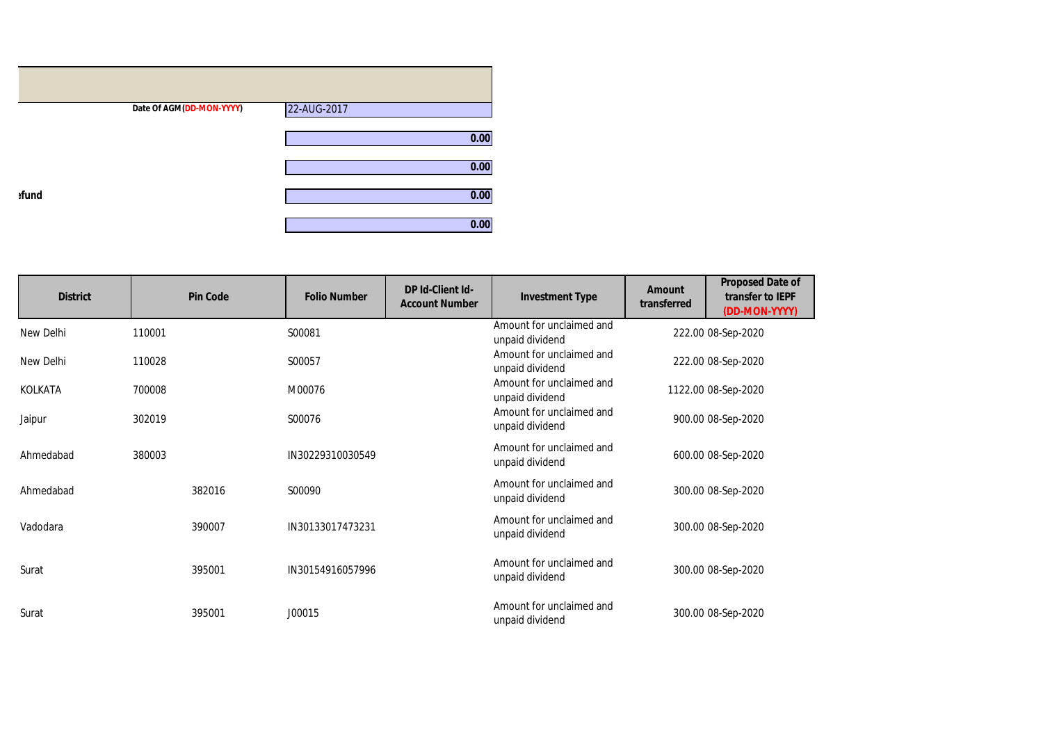|       | Date Of AGM(DD-MON-YYYY) | 22-AUG-2017 |
|-------|--------------------------|-------------|
|       |                          | 0.00        |
|       |                          | 0.00        |
| efund |                          | 0.00        |
|       |                          | 0.00        |

| <b>District</b> | <b>Pin Code</b> | <b>Folio Number</b> | <b>DP Id-Client Id-</b><br><b>Account Number</b> | <b>Investment Type</b>                      | Amount<br>transferred | <b>Proposed Date of</b><br>transfer to IEPF<br>(DD-MON-YYYY) |
|-----------------|-----------------|---------------------|--------------------------------------------------|---------------------------------------------|-----------------------|--------------------------------------------------------------|
| New Delhi       | 110001          | S00081              |                                                  | Amount for unclaimed and<br>unpaid dividend |                       | 222.00 08-Sep-2020                                           |
| New Delhi       | 110028          | S00057              |                                                  | Amount for unclaimed and<br>unpaid dividend |                       | 222.00 08-Sep-2020                                           |
| <b>KOLKATA</b>  | 700008          | M00076              |                                                  | Amount for unclaimed and<br>unpaid dividend |                       | 1122.00 08-Sep-2020                                          |
| Jaipur          | 302019          | S00076              |                                                  | Amount for unclaimed and<br>unpaid dividend |                       | 900.00 08-Sep-2020                                           |
| Ahmedabad       | 380003          | IN30229310030549    |                                                  | Amount for unclaimed and<br>unpaid dividend |                       | 600.00 08-Sep-2020                                           |
| Ahmedabad       | 382016          | S00090              |                                                  | Amount for unclaimed and<br>unpaid dividend |                       | 300.00 08-Sep-2020                                           |
| Vadodara        | 390007          | IN30133017473231    |                                                  | Amount for unclaimed and<br>unpaid dividend |                       | 300.00 08-Sep-2020                                           |
| Surat           | 395001          | IN30154916057996    |                                                  | Amount for unclaimed and<br>unpaid dividend |                       | 300.00 08-Sep-2020                                           |
| Surat           | 395001          | J00015              |                                                  | Amount for unclaimed and<br>unpaid dividend |                       | 300.00 08-Sep-2020                                           |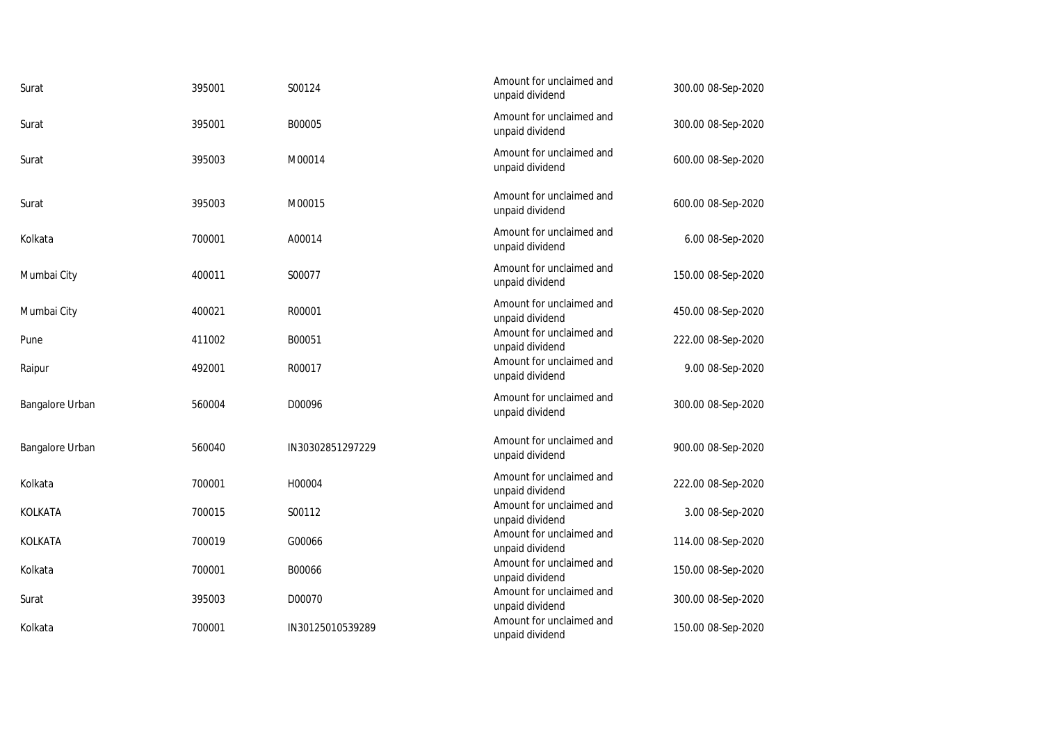| Surat           | 395001 | S00124           | Amount for unclaimed and<br>unpaid dividend | 300.00 08-Sep-2020 |
|-----------------|--------|------------------|---------------------------------------------|--------------------|
| Surat           | 395001 | B00005           | Amount for unclaimed and<br>unpaid dividend | 300.00 08-Sep-2020 |
| Surat           | 395003 | M00014           | Amount for unclaimed and<br>unpaid dividend | 600.00 08-Sep-2020 |
| Surat           | 395003 | M00015           | Amount for unclaimed and<br>unpaid dividend | 600.00 08-Sep-2020 |
| Kolkata         | 700001 | A00014           | Amount for unclaimed and<br>unpaid dividend | 6.00 08-Sep-2020   |
| Mumbai City     | 400011 | S00077           | Amount for unclaimed and<br>unpaid dividend | 150.00 08-Sep-2020 |
| Mumbai City     | 400021 | R00001           | Amount for unclaimed and<br>unpaid dividend | 450.00 08-Sep-2020 |
| Pune            | 411002 | B00051           | Amount for unclaimed and<br>unpaid dividend | 222.00 08-Sep-2020 |
| Raipur          | 492001 | R00017           | Amount for unclaimed and<br>unpaid dividend | 9.00 08-Sep-2020   |
| Bangalore Urban | 560004 | D00096           | Amount for unclaimed and<br>unpaid dividend | 300.00 08-Sep-2020 |
| Bangalore Urban | 560040 | IN30302851297229 | Amount for unclaimed and<br>unpaid dividend | 900.00 08-Sep-2020 |
| Kolkata         | 700001 | H00004           | Amount for unclaimed and<br>unpaid dividend | 222.00 08-Sep-2020 |
| KOLKATA         | 700015 | S00112           | Amount for unclaimed and<br>unpaid dividend | 3.00 08-Sep-2020   |
| KOLKATA         | 700019 | G00066           | Amount for unclaimed and<br>unpaid dividend | 114.00 08-Sep-2020 |
| Kolkata         | 700001 | B00066           | Amount for unclaimed and<br>unpaid dividend | 150.00 08-Sep-2020 |
| Surat           | 395003 | D00070           | Amount for unclaimed and<br>unpaid dividend | 300.00 08-Sep-2020 |
| Kolkata         | 700001 | IN30125010539289 | Amount for unclaimed and<br>unpaid dividend | 150.00 08-Sep-2020 |
|                 |        |                  |                                             |                    |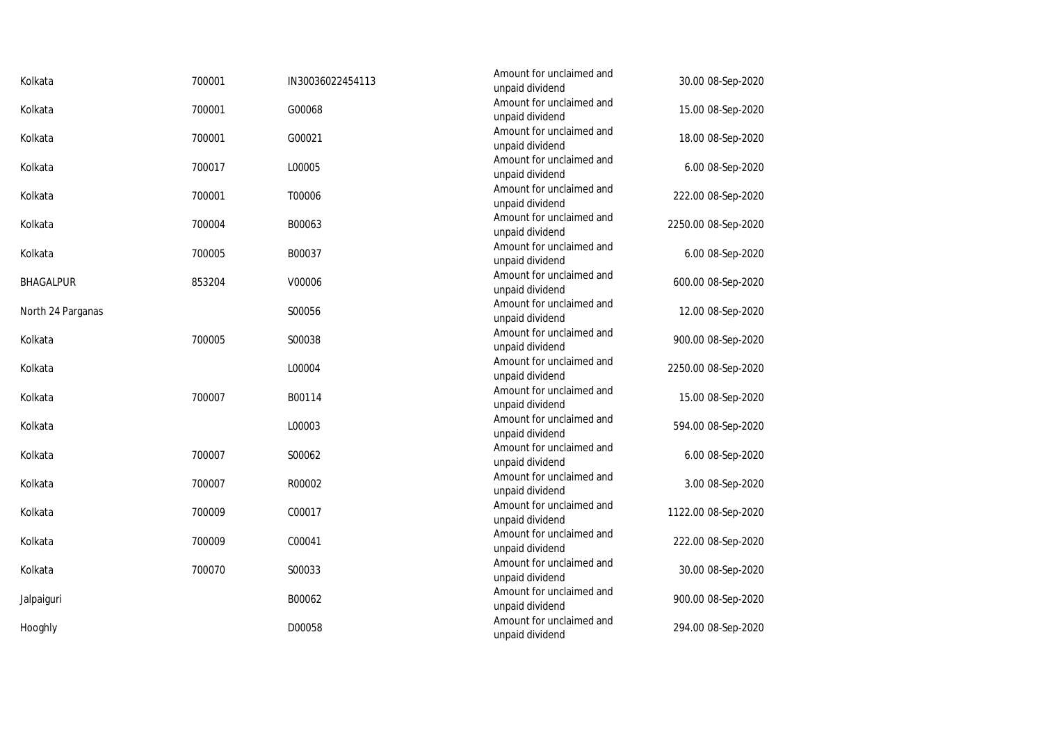| Kolkata           | 700001 | IN30036022454113 | Amount for unclaimed and<br>unpaid dividend | 30.00 08-Sep-2020   |
|-------------------|--------|------------------|---------------------------------------------|---------------------|
| Kolkata           | 700001 | G00068           | Amount for unclaimed and<br>unpaid dividend | 15.00 08-Sep-2020   |
| Kolkata           | 700001 | G00021           | Amount for unclaimed and<br>unpaid dividend | 18.00 08-Sep-2020   |
| Kolkata           | 700017 | L00005           | Amount for unclaimed and<br>unpaid dividend | 6.00 08-Sep-2020    |
| Kolkata           | 700001 | T00006           | Amount for unclaimed and<br>unpaid dividend | 222.00 08-Sep-2020  |
| Kolkata           | 700004 | B00063           | Amount for unclaimed and<br>unpaid dividend | 2250.00 08-Sep-2020 |
| Kolkata           | 700005 | B00037           | Amount for unclaimed and<br>unpaid dividend | 6.00 08-Sep-2020    |
| <b>BHAGALPUR</b>  | 853204 | V00006           | Amount for unclaimed and<br>unpaid dividend | 600.00 08-Sep-2020  |
| North 24 Parganas |        | S00056           | Amount for unclaimed and<br>unpaid dividend | 12.00 08-Sep-2020   |
| Kolkata           | 700005 | S00038           | Amount for unclaimed and<br>unpaid dividend | 900.00 08-Sep-2020  |
| Kolkata           |        | L00004           | Amount for unclaimed and<br>unpaid dividend | 2250.00 08-Sep-2020 |
| Kolkata           | 700007 | B00114           | Amount for unclaimed and<br>unpaid dividend | 15.00 08-Sep-2020   |
| Kolkata           |        | L00003           | Amount for unclaimed and<br>unpaid dividend | 594.00 08-Sep-2020  |
| Kolkata           | 700007 | S00062           | Amount for unclaimed and<br>unpaid dividend | 6.00 08-Sep-2020    |
| Kolkata           | 700007 | R00002           | Amount for unclaimed and<br>unpaid dividend | 3.00 08-Sep-2020    |
| Kolkata           | 700009 | C00017           | Amount for unclaimed and<br>unpaid dividend | 1122.00 08-Sep-2020 |
| Kolkata           | 700009 | C00041           | Amount for unclaimed and<br>unpaid dividend | 222.00 08-Sep-2020  |
| Kolkata           | 700070 | S00033           | Amount for unclaimed and<br>unpaid dividend | 30.00 08-Sep-2020   |
| Jalpaiguri        |        | B00062           | Amount for unclaimed and<br>unpaid dividend | 900.00 08-Sep-2020  |
| Hooghly           |        | D00058           | Amount for unclaimed and<br>unpaid dividend | 294.00 08-Sep-2020  |
|                   |        |                  |                                             |                     |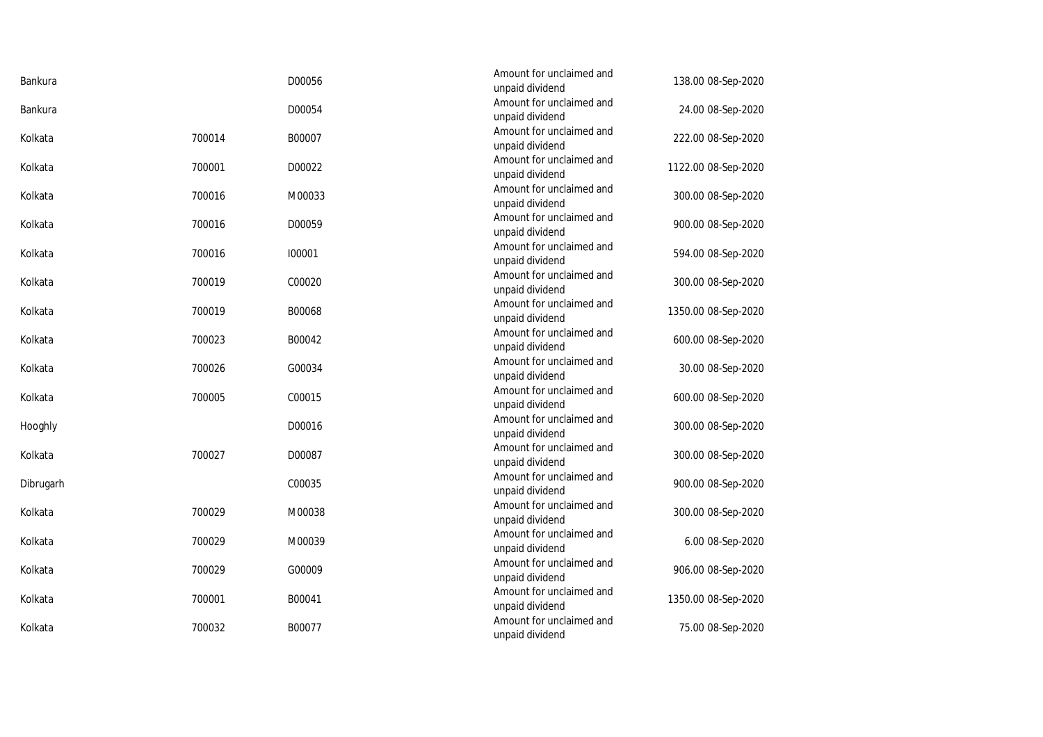| Bankura   |        | D00056 | Amount for unclaimed and<br>unpaid dividend | 138.00 08-Sep-2020  |
|-----------|--------|--------|---------------------------------------------|---------------------|
| Bankura   |        | D00054 | Amount for unclaimed and<br>unpaid dividend | 24.00 08-Sep-2020   |
| Kolkata   | 700014 | B00007 | Amount for unclaimed and<br>unpaid dividend | 222.00 08-Sep-2020  |
| Kolkata   | 700001 | D00022 | Amount for unclaimed and<br>unpaid dividend | 1122.00 08-Sep-2020 |
| Kolkata   | 700016 | M00033 | Amount for unclaimed and<br>unpaid dividend | 300.00 08-Sep-2020  |
| Kolkata   | 700016 | D00059 | Amount for unclaimed and<br>unpaid dividend | 900.00 08-Sep-2020  |
| Kolkata   | 700016 | 100001 | Amount for unclaimed and<br>unpaid dividend | 594.00 08-Sep-2020  |
| Kolkata   | 700019 | C00020 | Amount for unclaimed and<br>unpaid dividend | 300.00 08-Sep-2020  |
| Kolkata   | 700019 | B00068 | Amount for unclaimed and<br>unpaid dividend | 1350.00 08-Sep-2020 |
| Kolkata   | 700023 | B00042 | Amount for unclaimed and<br>unpaid dividend | 600.00 08-Sep-2020  |
| Kolkata   | 700026 | G00034 | Amount for unclaimed and<br>unpaid dividend | 30.00 08-Sep-2020   |
| Kolkata   | 700005 | C00015 | Amount for unclaimed and<br>unpaid dividend | 600.00 08-Sep-2020  |
| Hooghly   |        | D00016 | Amount for unclaimed and<br>unpaid dividend | 300.00 08-Sep-2020  |
| Kolkata   | 700027 | D00087 | Amount for unclaimed and<br>unpaid dividend | 300.00 08-Sep-2020  |
| Dibrugarh |        | C00035 | Amount for unclaimed and<br>unpaid dividend | 900.00 08-Sep-2020  |
| Kolkata   | 700029 | M00038 | Amount for unclaimed and<br>unpaid dividend | 300.00 08-Sep-2020  |
| Kolkata   | 700029 | M00039 | Amount for unclaimed and<br>unpaid dividend | 6.00 08-Sep-2020    |
| Kolkata   | 700029 | G00009 | Amount for unclaimed and<br>unpaid dividend | 906.00 08-Sep-2020  |
| Kolkata   | 700001 | B00041 | Amount for unclaimed and<br>unpaid dividend | 1350.00 08-Sep-2020 |
| Kolkata   | 700032 | B00077 | Amount for unclaimed and<br>unpaid dividend | 75.00 08-Sep-2020   |
|           |        |        |                                             |                     |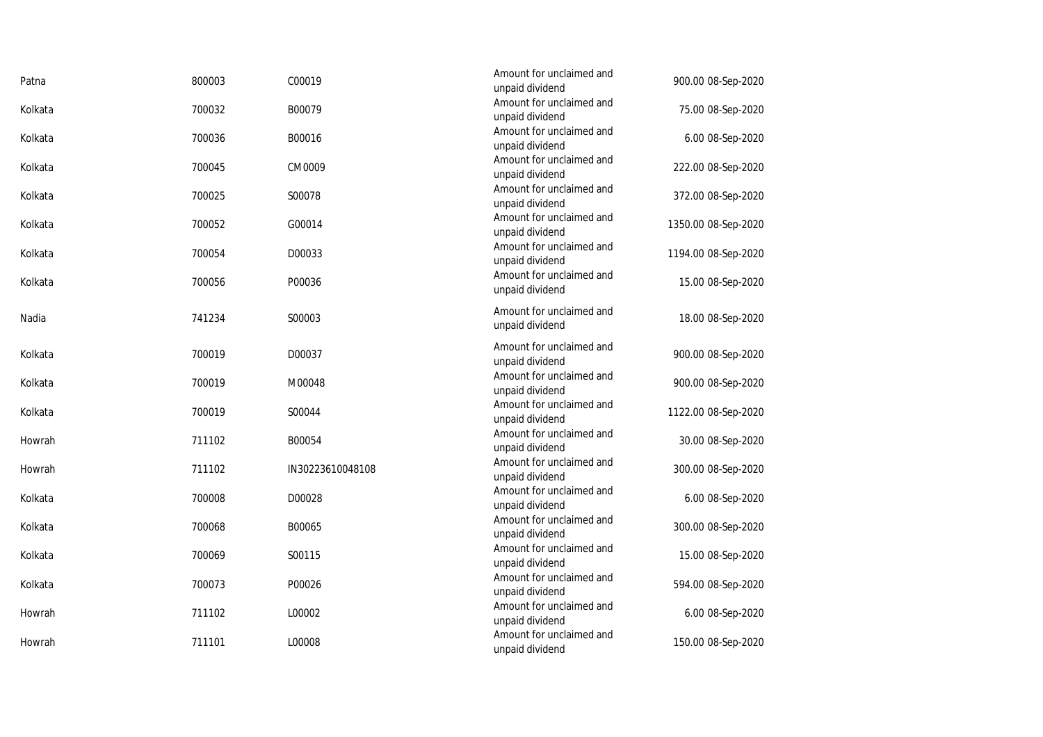| Patna   | 800003 | C00019           | Amount for unclaimed and<br>unpaid dividend | 900.00 08-Sep-2020  |
|---------|--------|------------------|---------------------------------------------|---------------------|
| Kolkata | 700032 | B00079           | Amount for unclaimed and<br>unpaid dividend | 75.00 08-Sep-2020   |
| Kolkata | 700036 | B00016           | Amount for unclaimed and<br>unpaid dividend | 6.00 08-Sep-2020    |
| Kolkata | 700045 | CM0009           | Amount for unclaimed and<br>unpaid dividend | 222.00 08-Sep-2020  |
| Kolkata | 700025 | S00078           | Amount for unclaimed and<br>unpaid dividend | 372.00 08-Sep-2020  |
| Kolkata | 700052 | G00014           | Amount for unclaimed and<br>unpaid dividend | 1350.00 08-Sep-2020 |
| Kolkata | 700054 | D00033           | Amount for unclaimed and<br>unpaid dividend | 1194.00 08-Sep-2020 |
| Kolkata | 700056 | P00036           | Amount for unclaimed and<br>unpaid dividend | 15.00 08-Sep-2020   |
| Nadia   | 741234 | S00003           | Amount for unclaimed and<br>unpaid dividend | 18.00 08-Sep-2020   |
| Kolkata | 700019 | D00037           | Amount for unclaimed and<br>unpaid dividend | 900.00 08-Sep-2020  |
| Kolkata | 700019 | M00048           | Amount for unclaimed and<br>unpaid dividend | 900.00 08-Sep-2020  |
| Kolkata | 700019 | S00044           | Amount for unclaimed and<br>unpaid dividend | 1122.00 08-Sep-2020 |
| Howrah  | 711102 | B00054           | Amount for unclaimed and<br>unpaid dividend | 30.00 08-Sep-2020   |
| Howrah  | 711102 | IN30223610048108 | Amount for unclaimed and<br>unpaid dividend | 300.00 08-Sep-2020  |
| Kolkata | 700008 | D00028           | Amount for unclaimed and<br>unpaid dividend | 6.00 08-Sep-2020    |
| Kolkata | 700068 | B00065           | Amount for unclaimed and<br>unpaid dividend | 300.00 08-Sep-2020  |
| Kolkata | 700069 | S00115           | Amount for unclaimed and<br>unpaid dividend | 15.00 08-Sep-2020   |
| Kolkata | 700073 | P00026           | Amount for unclaimed and<br>unpaid dividend | 594.00 08-Sep-2020  |
| Howrah  | 711102 | L00002           | Amount for unclaimed and<br>unpaid dividend | 6.00 08-Sep-2020    |
| Howrah  | 711101 | L00008           | Amount for unclaimed and<br>unpaid dividend | 150.00 08-Sep-2020  |
|         |        |                  |                                             |                     |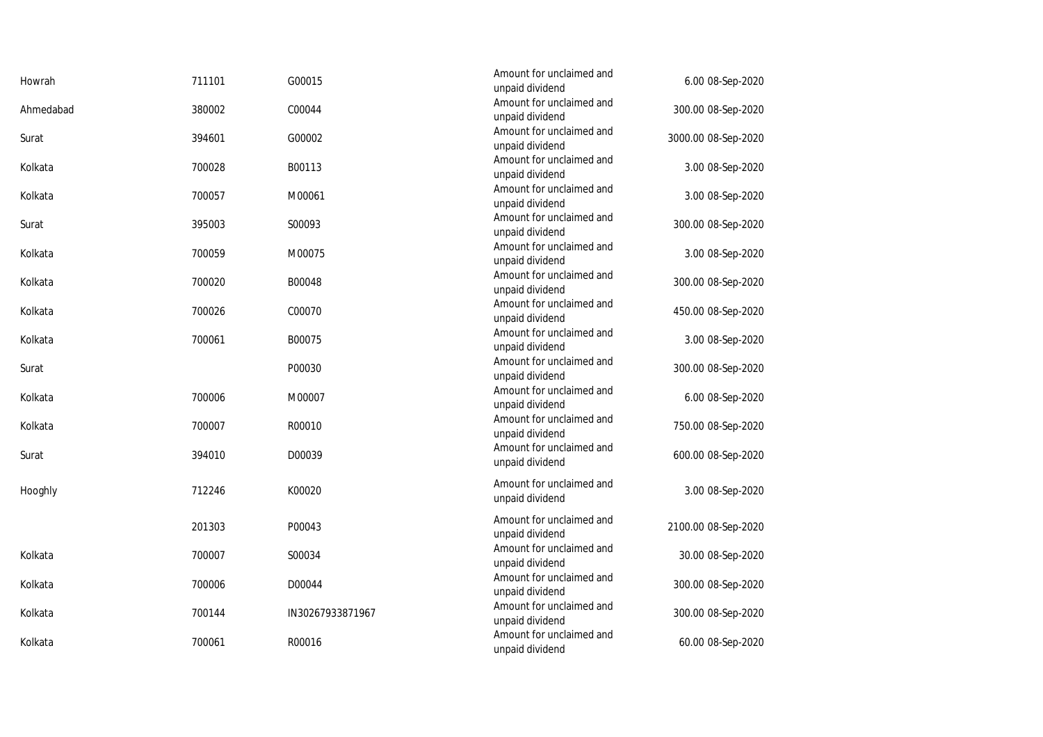| Howrah    | 711101 | G00015           | Amount for unclaimed and<br>unpaid dividend | 6.00 08-Sep-2020    |
|-----------|--------|------------------|---------------------------------------------|---------------------|
| Ahmedabad | 380002 | C00044           | Amount for unclaimed and<br>unpaid dividend | 300.00 08-Sep-2020  |
| Surat     | 394601 | G00002           | Amount for unclaimed and<br>unpaid dividend | 3000.00 08-Sep-2020 |
| Kolkata   | 700028 | B00113           | Amount for unclaimed and<br>unpaid dividend | 3.00 08-Sep-2020    |
| Kolkata   | 700057 | M00061           | Amount for unclaimed and<br>unpaid dividend | 3.00 08-Sep-2020    |
| Surat     | 395003 | S00093           | Amount for unclaimed and<br>unpaid dividend | 300.00 08-Sep-2020  |
| Kolkata   | 700059 | M00075           | Amount for unclaimed and<br>unpaid dividend | 3.00 08-Sep-2020    |
| Kolkata   | 700020 | B00048           | Amount for unclaimed and<br>unpaid dividend | 300.00 08-Sep-2020  |
| Kolkata   | 700026 | C00070           | Amount for unclaimed and<br>unpaid dividend | 450.00 08-Sep-2020  |
| Kolkata   | 700061 | B00075           | Amount for unclaimed and<br>unpaid dividend | 3.00 08-Sep-2020    |
| Surat     |        | P00030           | Amount for unclaimed and<br>unpaid dividend | 300.00 08-Sep-2020  |
| Kolkata   | 700006 | M00007           | Amount for unclaimed and<br>unpaid dividend | 6.00 08-Sep-2020    |
| Kolkata   | 700007 | R00010           | Amount for unclaimed and<br>unpaid dividend | 750.00 08-Sep-2020  |
| Surat     | 394010 | D00039           | Amount for unclaimed and<br>unpaid dividend | 600.00 08-Sep-2020  |
| Hooghly   | 712246 | K00020           | Amount for unclaimed and<br>unpaid dividend | 3.00 08-Sep-2020    |
|           | 201303 | P00043           | Amount for unclaimed and<br>unpaid dividend | 2100.00 08-Sep-2020 |
| Kolkata   | 700007 | S00034           | Amount for unclaimed and<br>unpaid dividend | 30.00 08-Sep-2020   |
| Kolkata   | 700006 | D00044           | Amount for unclaimed and<br>unpaid dividend | 300.00 08-Sep-2020  |
| Kolkata   | 700144 | IN30267933871967 | Amount for unclaimed and<br>unpaid dividend | 300.00 08-Sep-2020  |
| Kolkata   | 700061 | R00016           | Amount for unclaimed and<br>unpaid dividend | 60.00 08-Sep-2020   |
|           |        |                  |                                             |                     |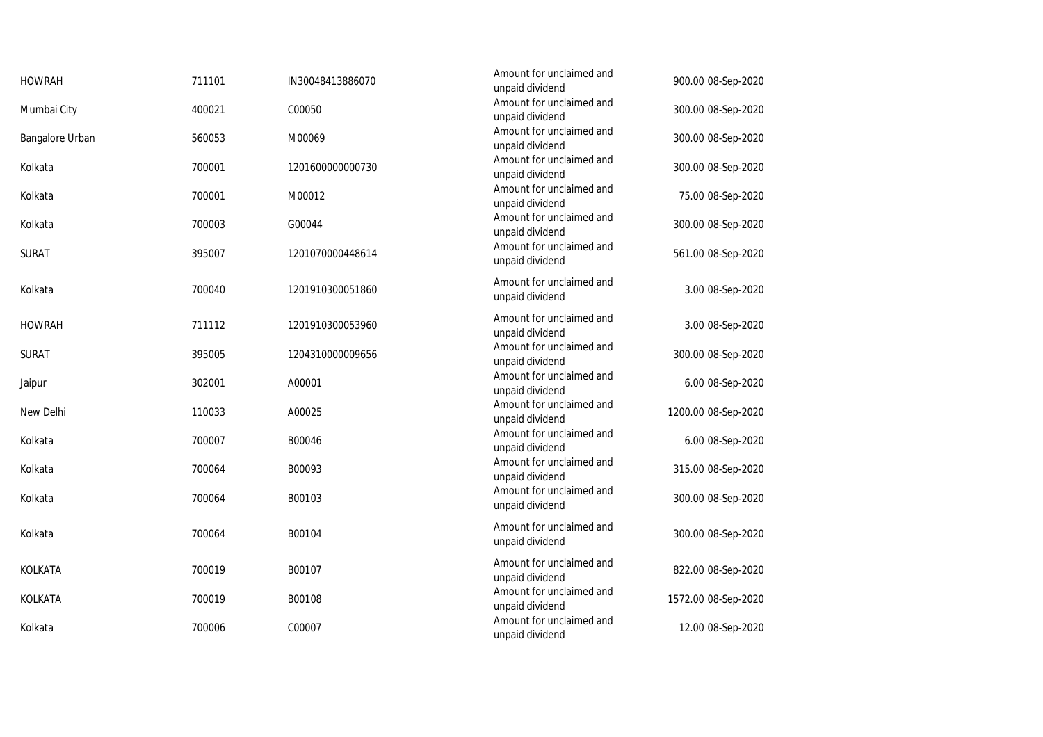| <b>HOWRAH</b>   | 711101 | IN30048413886070 | Amount for unclaimed and<br>unpaid dividend | 900.00 08-Sep-2020  |
|-----------------|--------|------------------|---------------------------------------------|---------------------|
| Mumbai City     | 400021 | C00050           | Amount for unclaimed and<br>unpaid dividend | 300.00 08-Sep-2020  |
| Bangalore Urban | 560053 | M00069           | Amount for unclaimed and<br>unpaid dividend | 300.00 08-Sep-2020  |
| Kolkata         | 700001 | 1201600000000730 | Amount for unclaimed and<br>unpaid dividend | 300.00 08-Sep-2020  |
| Kolkata         | 700001 | M00012           | Amount for unclaimed and<br>unpaid dividend | 75.00 08-Sep-2020   |
| Kolkata         | 700003 | G00044           | Amount for unclaimed and<br>unpaid dividend | 300.00 08-Sep-2020  |
| <b>SURAT</b>    | 395007 | 1201070000448614 | Amount for unclaimed and<br>unpaid dividend | 561.00 08-Sep-2020  |
| Kolkata         | 700040 | 1201910300051860 | Amount for unclaimed and<br>unpaid dividend | 3.00 08-Sep-2020    |
| <b>HOWRAH</b>   | 711112 | 1201910300053960 | Amount for unclaimed and<br>unpaid dividend | 3.00 08-Sep-2020    |
| <b>SURAT</b>    | 395005 | 1204310000009656 | Amount for unclaimed and<br>unpaid dividend | 300.00 08-Sep-2020  |
| Jaipur          | 302001 | A00001           | Amount for unclaimed and<br>unpaid dividend | 6.00 08-Sep-2020    |
| New Delhi       | 110033 | A00025           | Amount for unclaimed and<br>unpaid dividend | 1200.00 08-Sep-2020 |
| Kolkata         | 700007 | B00046           | Amount for unclaimed and<br>unpaid dividend | 6.00 08-Sep-2020    |
| Kolkata         | 700064 | B00093           | Amount for unclaimed and<br>unpaid dividend | 315.00 08-Sep-2020  |
| Kolkata         | 700064 | B00103           | Amount for unclaimed and<br>unpaid dividend | 300.00 08-Sep-2020  |
| Kolkata         | 700064 | B00104           | Amount for unclaimed and<br>unpaid dividend | 300.00 08-Sep-2020  |
| KOLKATA         | 700019 | B00107           | Amount for unclaimed and<br>unpaid dividend | 822.00 08-Sep-2020  |
| KOLKATA         | 700019 | B00108           | Amount for unclaimed and<br>unpaid dividend | 1572.00 08-Sep-2020 |
| Kolkata         | 700006 | C00007           | Amount for unclaimed and<br>unpaid dividend | 12.00 08-Sep-2020   |
|                 |        |                  |                                             |                     |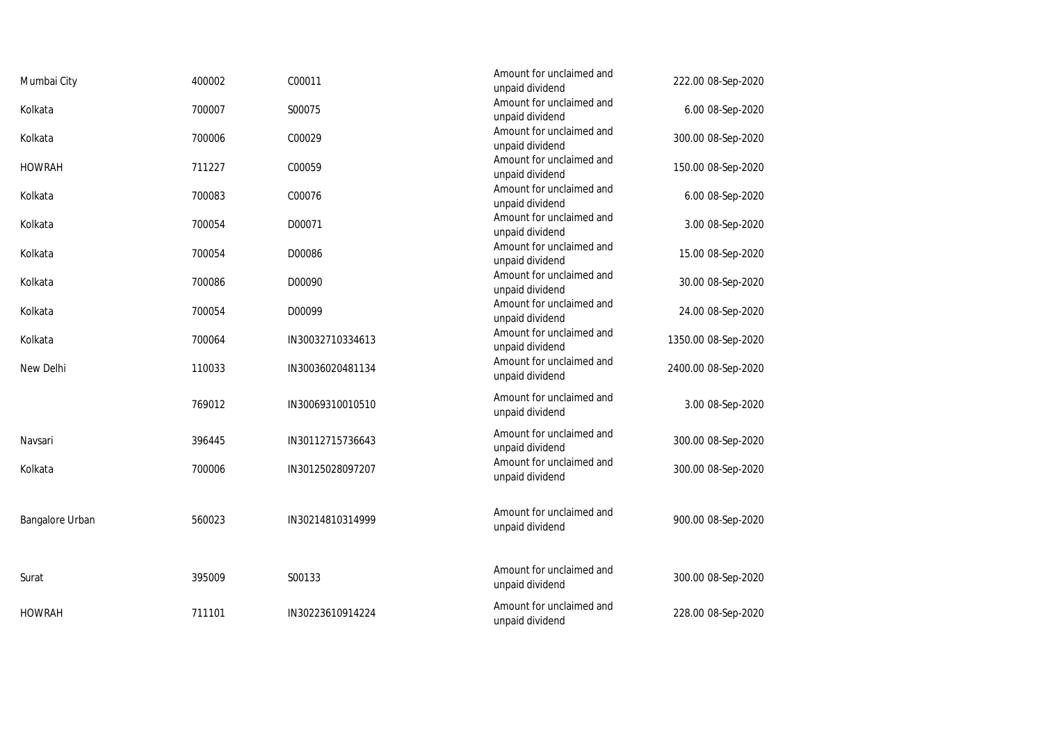| Mumbai City     | 400002 | C00011           | Amount for unclaimed and<br>unpaid dividend | 222.00 08-Sep-2020  |
|-----------------|--------|------------------|---------------------------------------------|---------------------|
| Kolkata         | 700007 | S00075           | Amount for unclaimed and<br>unpaid dividend | 6.00 08-Sep-2020    |
| Kolkata         | 700006 | C00029           | Amount for unclaimed and<br>unpaid dividend | 300.00 08-Sep-2020  |
| <b>HOWRAH</b>   | 711227 | C00059           | Amount for unclaimed and<br>unpaid dividend | 150.00 08-Sep-2020  |
| Kolkata         | 700083 | C00076           | Amount for unclaimed and<br>unpaid dividend | 6.00 08-Sep-2020    |
| Kolkata         | 700054 | D00071           | Amount for unclaimed and<br>unpaid dividend | 3.00 08-Sep-2020    |
| Kolkata         | 700054 | D00086           | Amount for unclaimed and<br>unpaid dividend | 15.00 08-Sep-2020   |
| Kolkata         | 700086 | D00090           | Amount for unclaimed and<br>unpaid dividend | 30.00 08-Sep-2020   |
| Kolkata         | 700054 | D00099           | Amount for unclaimed and<br>unpaid dividend | 24.00 08-Sep-2020   |
| Kolkata         | 700064 | IN30032710334613 | Amount for unclaimed and<br>unpaid dividend | 1350.00 08-Sep-2020 |
| New Delhi       | 110033 | IN30036020481134 | Amount for unclaimed and<br>unpaid dividend | 2400.00 08-Sep-2020 |
|                 | 769012 | IN30069310010510 | Amount for unclaimed and<br>unpaid dividend | 3.00 08-Sep-2020    |
| Navsari         | 396445 | IN30112715736643 | Amount for unclaimed and<br>unpaid dividend | 300.00 08-Sep-2020  |
| Kolkata         | 700006 | IN30125028097207 | Amount for unclaimed and<br>unpaid dividend | 300.00 08-Sep-2020  |
| Bangalore Urban | 560023 | IN30214810314999 | Amount for unclaimed and<br>unpaid dividend | 900.00 08-Sep-2020  |
| Surat           | 395009 | S00133           | Amount for unclaimed and<br>unpaid dividend | 300.00 08-Sep-2020  |
| <b>HOWRAH</b>   | 711101 | IN30223610914224 | Amount for unclaimed and<br>unpaid dividend | 228.00 08-Sep-2020  |